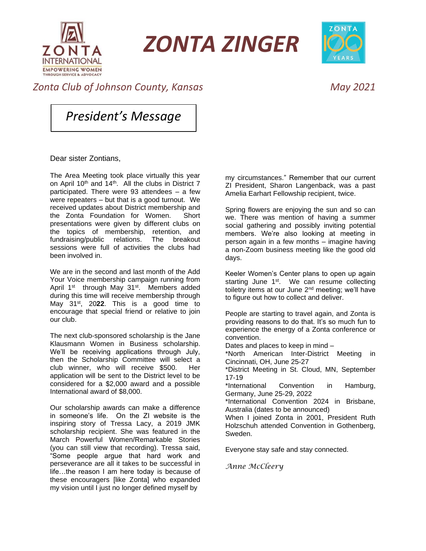

*ZONTA ZINGER*



## *Zonta Club of Johnson County, Kansas May 2021*

*President's Message*

Dear sister Zontians,

The Area Meeting took place virtually this year on April 10<sup>th</sup> and 14<sup>th</sup>. All the clubs in District 7 participated. There were 93 attendees – a few were repeaters – but that is a good turnout. We received updates about District membership and the Zonta Foundation for Women. Short presentations were given by different clubs on the topics of membership, retention, and fundraising/public relations. The breakout sessions were full of activities the clubs had been involved in.

We are in the second and last month of the Add Your Voice membership campaign running from April 1<sup>st</sup> through May 31<sup>st</sup>. Members added during this time will receive membership through May 31st, 20**22**. This is a good time to encourage that special friend or relative to join our club.

The next club-sponsored scholarship is the Jane Klausmann Women in Business scholarship. We'll be receiving applications through July, then the Scholarship Committee will select a club winner, who will receive \$500. Her application will be sent to the District level to be considered for a \$2,000 award and a possible International award of \$8,000.

Our scholarship awards can make a difference in someone's life. On the ZI website is the inspiring story of Tressa Lacy, a 2019 JMK scholarship recipient. She was featured in the March Powerful Women/Remarkable Stories (you can still view that recording). Tressa said, "Some people argue that hard work and perseverance are all it takes to be successful in life…the reason I am here today is because of these encouragers [like Zonta] who expanded my vision until I just no longer defined myself by

my circumstances." Remember that our current ZI President, Sharon Langenback, was a past Amelia Earhart Fellowship recipient, twice.

Spring flowers are enjoying the sun and so can we. There was mention of having a summer social gathering and possibly inviting potential members. We're also looking at meeting in person again in a few months – imagine having a non-Zoom business meeting like the good old days.

Keeler Women's Center plans to open up again starting June 1<sup>st</sup>. We can resume collecting toiletry items at our June 2<sup>nd</sup> meeting; we'll have to figure out how to collect and deliver.

People are starting to travel again, and Zonta is providing reasons to do that. It's so much fun to experience the energy of a Zonta conference or convention.

Dates and places to keep in mind –

\*North American Inter-District Meeting in Cincinnati, OH, June 25-27

\*District Meeting in St. Cloud, MN, September 17-19

\*International Convention in Hamburg, Germany, June 25-29, 2022

\*International Convention 2024 in Brisbane, Australia (dates to be announced)

When I joined Zonta in 2001, President Ruth Holzschuh attended Convention in Gothenberg, Sweden.

Everyone stay safe and stay connected.

*Anne McCleery*